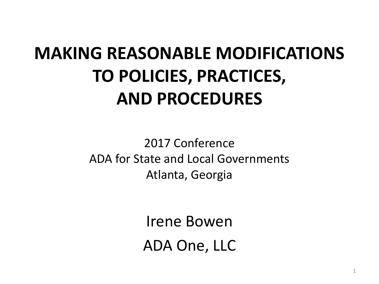### **MAKING REASONABLE MODIFICATIONS TO POLICIES, PRACTICES, AND PROCEDURES**

 2017 Conference ADA for State and Local Governments Atlanta, Georgia

> Irene Bowen ADA One, LLC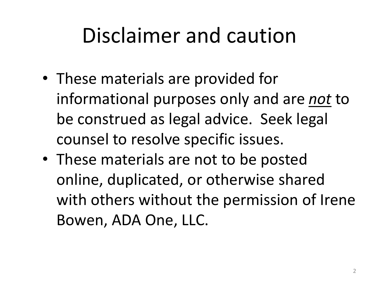## Disclaimer and caution

- These materials are provided for informational purposes only and are *not* to be construed as legal advice. Seek legal counsel to resolve specific issues.
- These materials are not to be posted online, duplicated, or otherwise shared with others without the permission of Irene Bowen, ADA One, LLC.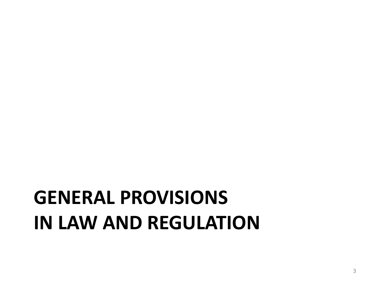## **GENERAL PROVISIONS IN LAW AND REGULATION**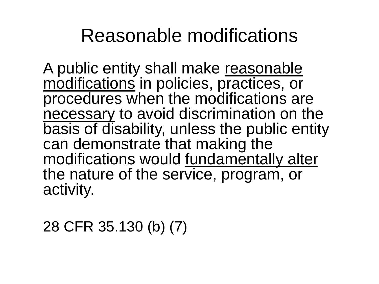### Reasonable modifications

 modifications in policies, practices, or A public entity shall make reasonable procedures when the modifications are necessary to avoid discrimination on the basis of disability, unless the public entity can demonstrate that making the modifications would fundamentally alter the nature of the service, program, or activity.

28 CFR 35.130 (b) (7)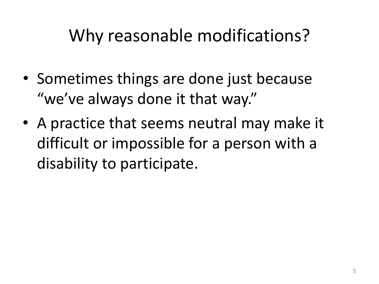### Why reasonable modifications?

- Sometimes things are done just because "we've always done it that way."
- A practice that seems neutral may make it difficult or impossible for a person with a disability to participate.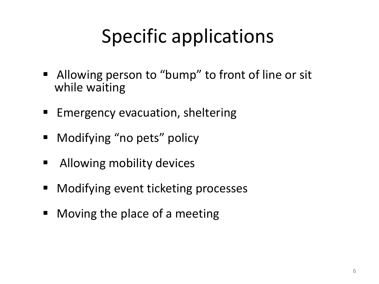### Specific applications

- **E** Allowing person to "bump" to front of line or sit while waiting
- **Emergency evacuation, sheltering**
- Modifying "no pets" policy
- **Allowing mobility devices**
- Modifying event ticketing processes
- Moving the place of a meeting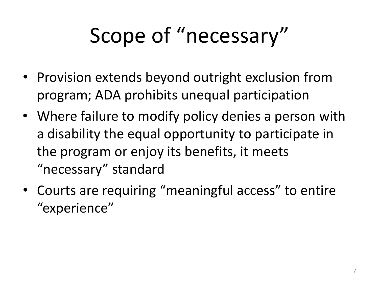# Scope of "necessary"

- Provision extends beyond outright exclusion from program; ADA prohibits unequal participation
- a disability the equal opportunity to participate in the program or enjoy its benefits, it meets • Where failure to modify policy denies a person with "necessary" standard
- Courts are requiring "meaningful access" to entire "experience"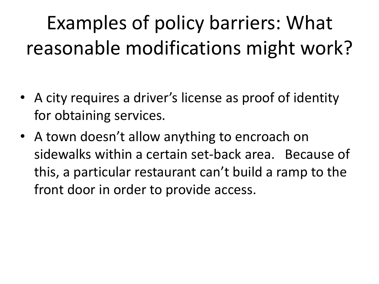## Examples of policy barriers: What reasonable modifications might work?

- A city requires a driver's license as proof of identity for obtaining services.
- A town doesn't allow anything to encroach on sidewalks within a certain set-back area. Because of this, a particular restaurant can't build a ramp to the front door in order to provide access.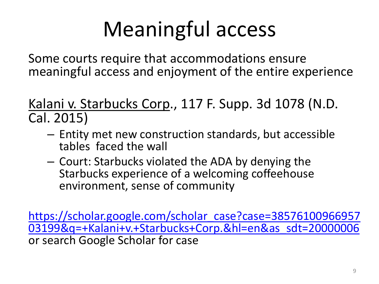# Meaningful access

Some courts require that accommodations ensure meaningful access and enjoyment of the entire experience

Kalani v. Starbucks Corp., 117 F. Supp. 3d 1078 (N.D. Cal. 2015)

- tables faced the wall – Entity met new construction standards, but accessible
- Court: Starbucks violated the ADA by denying the Starbucks experience of a welcoming coffeehouse environment, sense of community

[https://scholar.google.com/scholar\\_case?case=38576100966957](https://scholar.google.com/scholar_case?case=3857610096695703199&q=+Kalani+v.+Starbucks+Corp.&hl=en&as_sdt=20000006) [03199&q=+Kalani+v.+Starbucks+Corp.&hl=en&as\\_sdt=20000006](https://scholar.google.com/scholar_case?case=3857610096695703199&q=+Kalani+v.+Starbucks+Corp.&hl=en&as_sdt=20000006) 03199&q=+Kalani+v.+Starbucks+Corp.&hl=en&as\_sdt=20000006<br>or search Google Scholar for case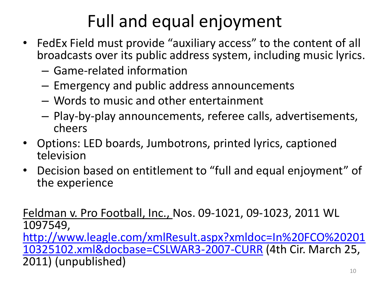### Full and equal enjoyment

- broadcasts over its public address system, including music lyrics. • FedEx Field must provide "auxiliary access" to the content of all
	- – Game-related information
	- $-$  Emergency and public address announcements
	- – Words to music and other entertainment
	- Play-by-play announcements, referee calls, advertisements, cheers
- • Options: LED boards, Jumbotrons, printed lyrics, captioned television
- • Decision based on entitlement to "full and equal enjoyment" of the experience

Feldman v. Pro Football, Inc., Nos. 09-1021, 09-1023, 2011 WL 1097549, [http://www.leagle.com/xmlResult.aspx?xmldoc=In%20FCO%20201](http://www.leagle.com/xmlResult.aspx?xmldoc=In FCO 20110325102.xml&docbase=CSLWAR3-2007-CURR)  [10325102.xml&docbase=CSLWAR3-2007-CURR](http://www.leagle.com/xmlResult.aspx?xmldoc=In FCO 20110325102.xml&docbase=CSLWAR3-2007-CURR) (4th Cir. March 25, 2011) (unpublished)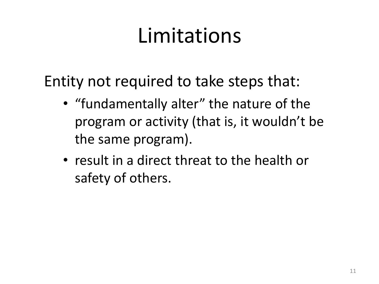## Limitations

Entity not required to take steps that:

- • "fundamentally alter" the nature of the program or activity (that is, it wouldn't be the same program).
- • result in a direct threat to the health or safety of others.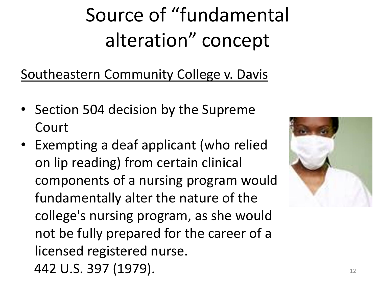## Source of "fundamental alteration" concept

Southeastern Community College v. Davis

- Section 504 decision by the Supreme Court
- Exempting a deaf applicant (who relied on lip reading) from certain clinical components of a nursing program would fundamentally alter the nature of the college's nursing program, as she would not be fully prepared for the career of a licensed registered nurse. 442 U.S. 397 (1979). 12

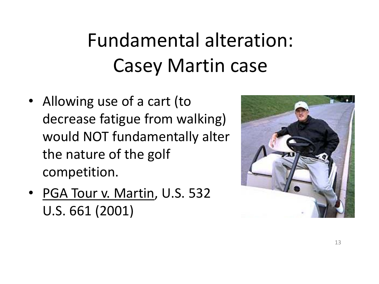## Fundamental alteration: Casey Martin case

- Allowing use of a cart (to decrease fatigue from walking) would NOT fundamentally alter the nature of the golf competition.
- PGA Tour v. Martin, U.S. 532 U.S. 661 (2001)

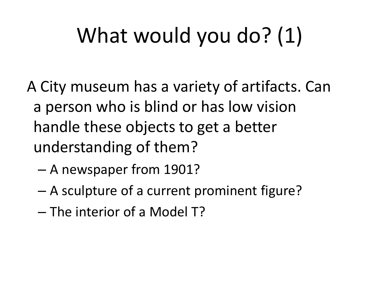# What would you do? (1)

- A City museum has a variety of artifacts. Can a person who is blind or has low vision handle these objects to get a better understanding of them?
	- A newspaper from 1901?
	- A sculpture of a current prominent figure?
	- The interior of a Model T?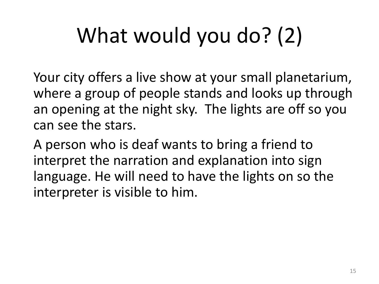# What would you do? (2)

Your city offers a live show at your small planetarium, where a group of people stands and looks up through an opening at the night sky. The lights are off so you can see the stars.

 interpret the narration and explanation into sign A person who is deaf wants to bring a friend to language. He will need to have the lights on so the interpreter is visible to him.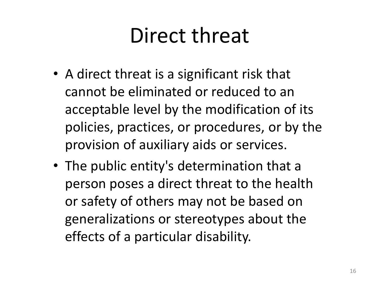## Direct threat

- A direct threat is a significant risk that cannot be eliminated or reduced to an acceptable level by the modification of its policies, practices, or procedures, or by the provision of auxiliary aids or services.
- The public entity's determination that a person poses a direct threat to the health or safety of others may not be based on generalizations or stereotypes about the effects of a particular disability.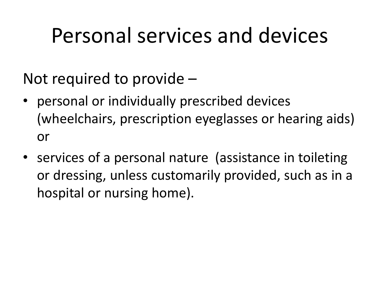### Personal services and devices

Not required to provide –

- personal or individually prescribed devices (wheelchairs, prescription eyeglasses or hearing aids) or
- or dressing, unless customarily provided, such as in a • services of a personal nature (assistance in toileting hospital or nursing home).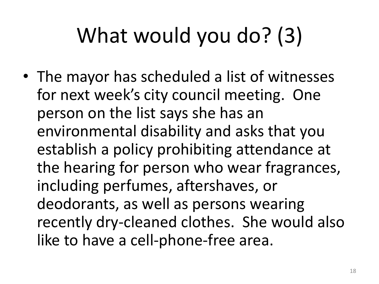# What would you do? (3)

• The mayor has scheduled a list of witnesses for next week's city council meeting. One person on the list says she has an environmental disability and asks that you establish a policy prohibiting attendance at the hearing for person who wear fragrances, including perfumes, aftershaves, or deodorants, as well as persons wearing recently dry-cleaned clothes. She would also like to have a cell-phone-free area.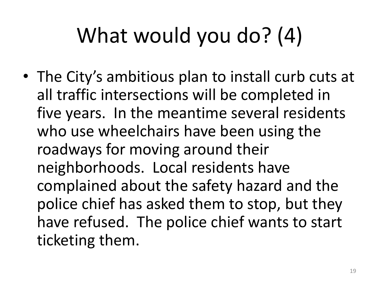# What would you do? (4)

 • The City's ambitious plan to install curb cuts at complained about the safety hazard and the all traffic intersections will be completed in five years. In the meantime several residents who use wheelchairs have been using the roadways for moving around their neighborhoods. Local residents have police chief has asked them to stop, but they have refused. The police chief wants to start ticketing them.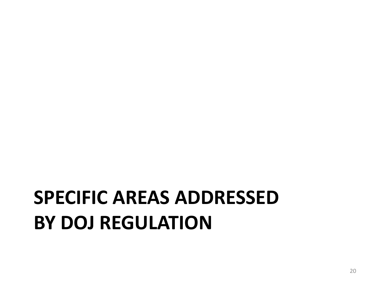### **SPECIFIC AREAS ADDRESSED BY DOJ REGULATION**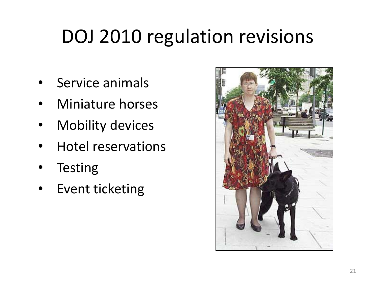### DOJ 2010 regulation revisions

- Service animals
- Miniature horses
- **Mobility devices**
- Hotel reservations
- **Testing**
- Event ticketing

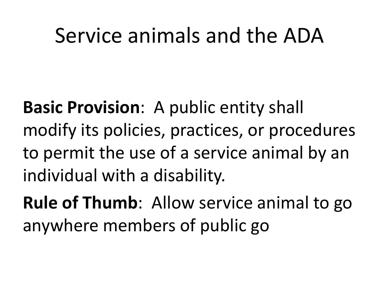### Service animals and the ADA

**Basic Provision**: A public entity shall modify its policies, practices, or procedures to permit the use of a service animal by an individual with a disability.

**Rule of Thumb**: Allow service animal to go anywhere members of public go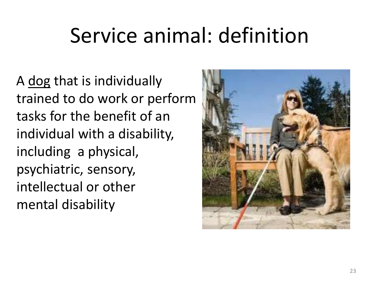## Service animal: definition

 trained to do work or perform tasks for the benefit of an individual with a disability, intellectual or other<br>mental disability A dog that is individually including a physical, psychiatric, sensory,

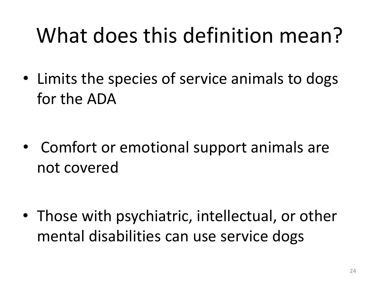# What does this definition mean?

• Limits the species of service animals to dogs for the ADA

 • Comfort or emotional support animals are not covered

• Those with psychiatric, intellectual, or other mental disabilities can use service dogs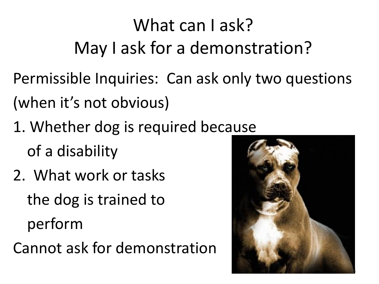### What can Lask? May I ask for a demonstration?

Permissible Inquiries: Can ask only two questions (when it's not obvious)

- 1. Whether dog is required because of a disability
- 2. What work or tasks the dog is trained to perform

Cannot ask for demonstration

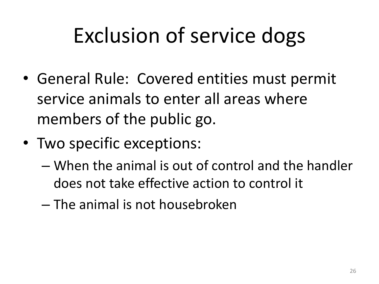## Exclusion of service dogs

- General Rule: Covered entities must permit service animals to enter all areas where members of the public go.
- Two specific exceptions:
	- does not take effective action to control it – When the animal is out of control and the handler
	- $-$  The animal is not housebroken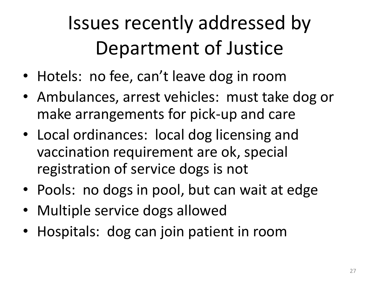## Issues recently addressed by Department of Justice

- Hotels: no fee, can't leave dog in room
- Ambulances, arrest vehicles: must take dog or make arrangements for pick-up and care
- Local ordinances: local dog licensing and vaccination requirement are ok, special registration of service dogs is not
- Pools: no dogs in pool, but can wait at edge
- Multiple service dogs allowed
- Hospitals: dog can join patient in room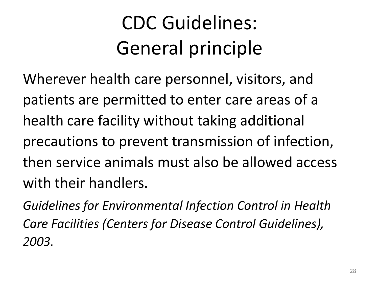## CDC Guidelines: General principle

Wherever health care personnel, visitors, and patients are permitted to enter care areas of a health care facility without taking additional precautions to prevent transmission of infection, then service animals must also be allowed access with their handlers.

*Guidelines for Environmental Infection Control in Health Care Facilities (Centers for Disease Control Guidelines), 2003.*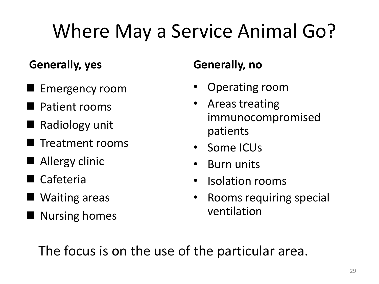## Where May a Service Animal Go?

#### **Generally, yes**

- **Emergency room**
- Patient rooms
- Radiology unit
- Treatment rooms
- **Allergy clinic**
- Cafeteria
- Waiting areas
- **Nursing homes**

#### **Generally, no**

- Operating room
- Areas treating immunocompromised patients
- Some ICUs
- Burn units
- • Isolation rooms
- Rooms requiring special ventilation

The focus is on the use of the particular area.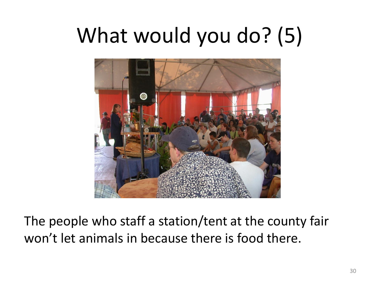# What would you do? (5)



The people who staff a station/tent at the county fair won't let animals in because there is food there.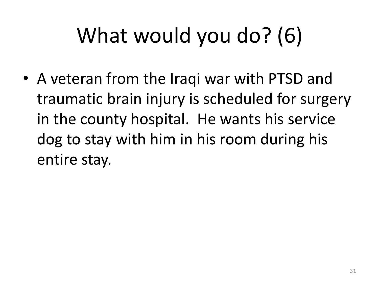# What would you do? (6)

• A veteran from the Iraqi war with PTSD and traumatic brain injury is scheduled for surgery in the county hospital. He wants his service dog to stay with him in his room during his entire stay.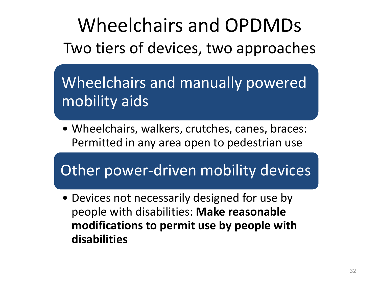Wheelchairs and OPDMDs Two tiers of devices, two approaches

Wheelchairs and manually powered mobility aids

• Wheelchairs, walkers, crutches, canes, braces: Permitted in any area open to pedestrian use

Other power-driven mobility devices

• Devices not necessarily designed for use by people with disabilities: **Make reasonable modifications to permit use by people with disabilities**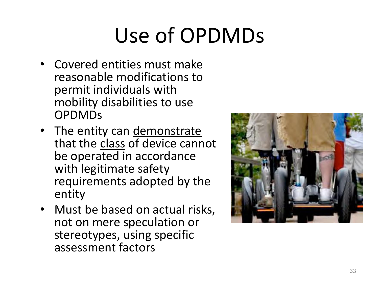# Use of OPDMDs

- • Covered entities must make reasonable modifications to permit individuals with mobility disabilities to use OPDMDs
- The entity can demonstrate that the class of device cannot be operated in accordance with legitimate safety requirements adopted by the entity
- Must be based on actual risks, not on mere speculation or stereotypes, using specific assessment factors

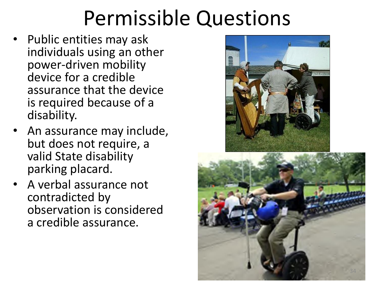## Permissible Questions

- device for a credible • Public entities may ask individuals using an other power-driven mobility assurance that the device is required because of a disability.
- An assurance may include, but does not require, a valid State disability parking placard.
- a credible assurance. • A verbal assurance not contradicted by observation is considered



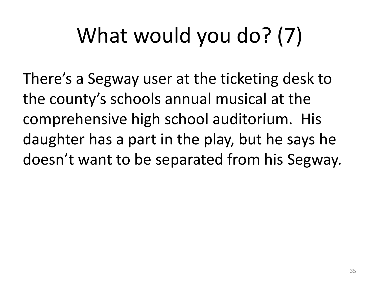# What would you do? (7)

There's a Segway user at the ticketing desk to the county's schools annual musical at the comprehensive high school auditorium. His daughter has a part in the play, but he says he doesn't want to be separated from his Segway;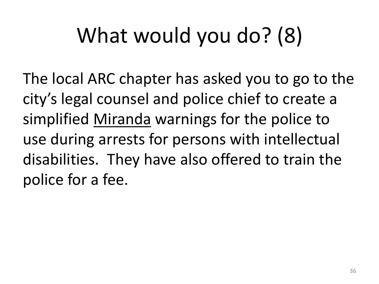# What would you do? (8)

The local ARC chapter has asked you to go to the city's legal counsel and police chief to create a simplified Miranda warnings for the police to use during arrests for persons with intellectual disabilities. They have also offered to train the police for a fee.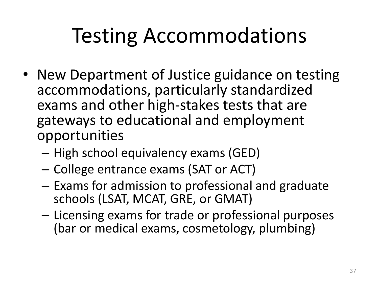## Testing Accommodations

- New Department of Justice guidance on testing accommodations, particularly standardized exams and other high-stakes tests that are gateways to educational and employment opportunities
	- High school equivalency exams (GED)
	- – College entrance exams (SAT or ACT)
	- Exams for admission to professional and graduate schools (LSAT, MCAT, GRE, or GMAT)
	- Licensing exams for trade or professional purposes (bar or medical exams, cosmetology, plumbing)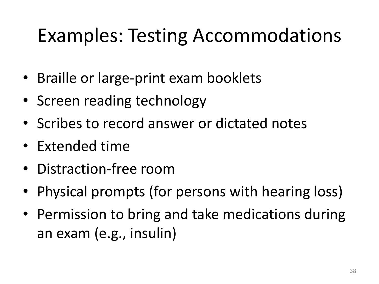### Examples: Testing Accommodations

- Braille or large-print exam booklets
- Screen reading technology
- • Scribes to record answer or dictated notes
- Extended time
- • Distraction-free room
- Physical prompts (for persons with hearing loss)
- Permission to bring and take medications during an exam (e.g., insulin)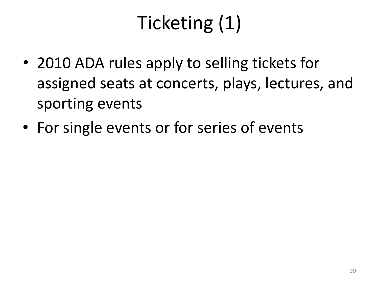# Ticketing (1)

- 2010 ADA rules apply to selling tickets for assigned seats at concerts, plays, lectures, and sporting events
- For single events or for series of events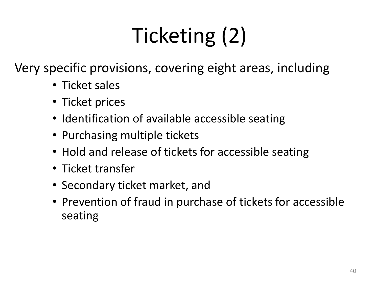# Ticketing (2)

Very specific provisions, covering eight areas, including

- Ticket sales
- Ticket prices
- Identification of available accessible seating
- Purchasing multiple tickets
- Hold and release of tickets for accessible seating
- Ticket transfer
- Secondary ticket market, and
- Prevention of fraud in purchase of tickets for accessible seating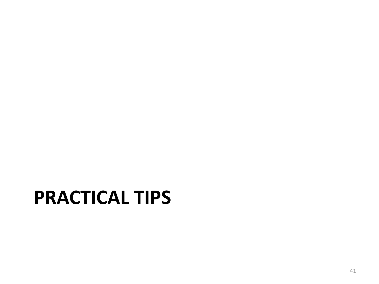### **PRACTICAL TIPS**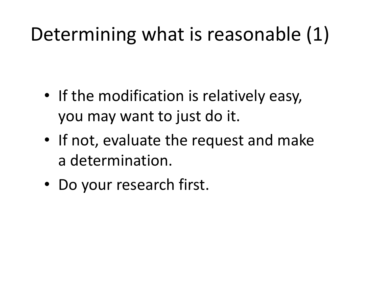### Determining what is reasonable (1)

- If the modification is relatively easy, you may want to just do it.
- If not, evaluate the request and make a determination.
- Do your research first.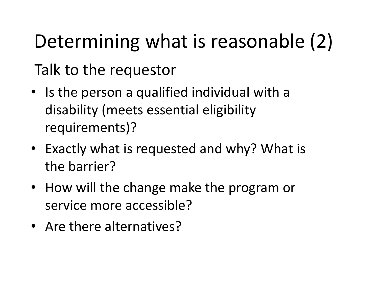# Determining what is reasonable (2) Talk to the requestor

- Is the person a qualified individual with a disability (meets essential eligibility requirements)?
- • Exactly what is requested and why? What is the barrier?
- How will the change make the program or service more accessible?
- Are there alternatives?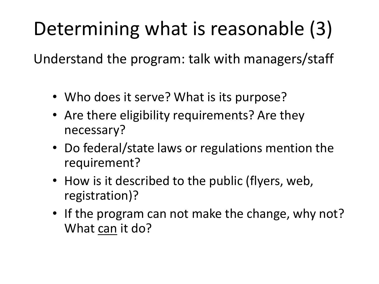### Determining what is reasonable (3)

Understand the program: talk with managers/staff

- Who does it serve? What is its purpose?
- Are there eligibility requirements? Are they necessary?
- Do federal/state laws or regulations mention the requirement?
- How is it described to the public (flyers, web, registration)?
- If the program can not make the change, why not? What can it do?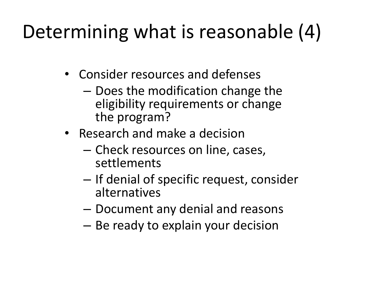### Determining what is reasonable (4)

- Consider resources and defenses
	- Does the modification change the eligibility requirements or change the program?
- Research and make a decision
	- Check resources on line, cases, settlements
	- If denial of specific request, consider alternatives
	- Document any denial and reasons
	- Be ready to explain your decision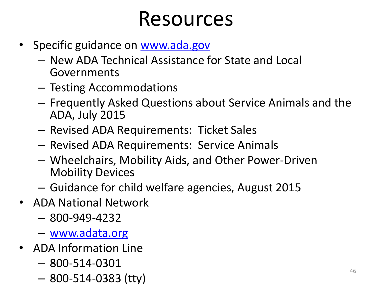### Resources

- Specific guidance on www.ada.gov
	- New ADA Technical Assistance for State and Local Governments
	- Testing Accommodations
	- ADA, July 2015 – Frequently Asked Questions about Service Animals and the
	- Revised ADA Requirements: Ticket Sales
	- Revised ADA Requirements: Service Animals
	- Wheelchairs, Mobility Aids, and Other Power-Driven Mobility Devices
	- Guidance for child welfare agencies, August 2015
- ADA National Network
	- 800-949-4232
	- [www.adata.org](http://www.adata.org/)
- ADA Information Line
	- 800-514-0301
	- 800-514-0383 (tty)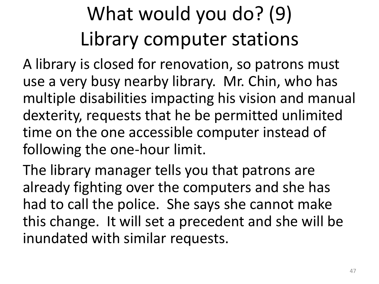## What would you do? (9) Library computer stations

A library is closed for renovation, so patrons must use a very busy nearby library. Mr. Chin, who has multiple disabilities impacting his vision and manual dexterity, requests that he be permitted unlimited time on the one accessible computer instead of following the one-hour limit.

The library manager tells you that patrons are already fighting over the computers and she has had to call the police. She says she cannot make this change. It will set a precedent and she will be inundated with similar requests.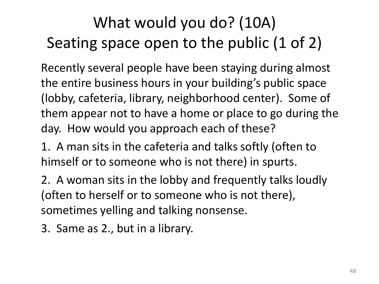### What would you do? (10A) Seating space open to the public (1 of 2)

Recently several people have been staying during almost the entire business hours in your building's public space (lobby, cafeteria, library, neighborhood center). Some of them appear not to have a home or place to go during the day. How would you approach each of these?

 himself or to someone who is not there) in spurts. 1. A man sits in the cafeteria and talks softly (often to

2. A woman sits in the lobby and frequently talks loudly (often to herself or to someone who is not there), sometimes yelling and talking nonsense.

3. Same as 2., but in a library.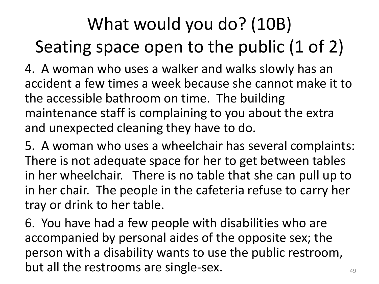### What would you do? (10B) Seating space open to the public (1 of 2)

4. A woman who uses a walker and walks slowly has an accident a few times a week because she cannot make it to the accessible bathroom on time. The building maintenance staff is complaining to you about the extra and unexpected cleaning they have to do.

5. A woman who uses a wheelchair has several complaints: There is not adequate space for her to get between tables in her wheelchair. There is no table that she can pull up to in her chair. The people in the cafeteria refuse to carry her tray or drink to her table.

6. You have had a few people with disabilities who are accompanied by personal aides of the opposite sex; the person with a disability wants to use the public restroom, but all the restrooms are single-sex.  $\qquad \qquad \qquad \text{and}$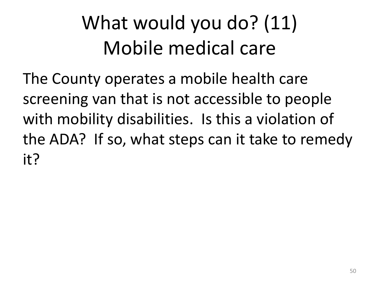## What would you do? (11) Mobile medical care

The County operates a mobile health care screening van that is not accessible to people with mobility disabilities. Is this a violation of the ADA? If so, what steps can it take to remedy it?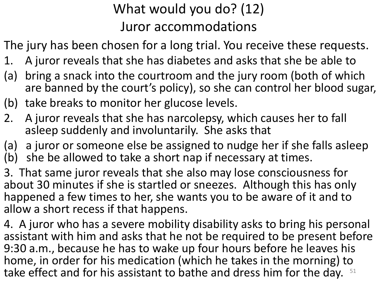#### What would you do? (12) Juror accommodations

The jury has been chosen for a long trial. You receive these requests.

- 1. A juror reveals that she has diabetes and asks that she be able to
- (a) bring a snack into the courtroom and the jury room (both of which are banned by the court's policy), so she can control her blood sugar,
- (b) take breaks to monitor her glucose levels.
- 2. A juror reveals that she has narcolepsy, which causes her to fall asleep suddenly and involuntarily. She asks that
- (a) a juror or someone else be assigned to nudge her if she falls asleep
- $(b)$ she be allowed to take a short nap if necessary at times.

3. That same juror reveals that she also may lose consciousness for about 30 minutes if she is startled or sneezes. Although this has only happened a few times to her, she wants you to be aware of it and to allow a short recess if that happens.

take effect and for his assistant to bathe and dress him for the day.  $51$ 4. A juror who has a severe mobility disability asks to bring his personal assistant with him and asks that he not be required to be present before 9:30 a.m., because he has to wake up four hours before he leaves his home, in order for his medication (which he takes in the morning) to